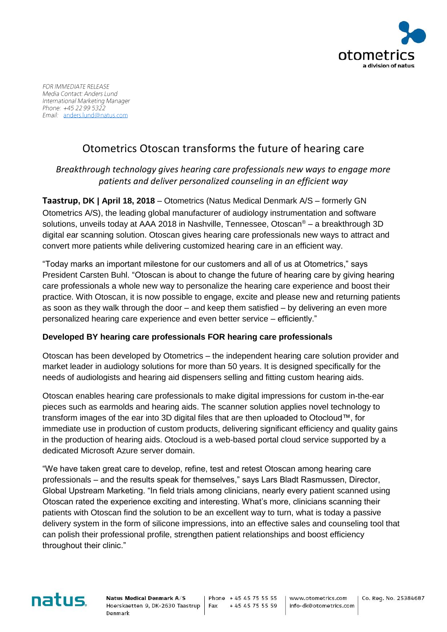

FOR IMMEDIATE RELEASE Media Contact: Anders Lund International Marketing Manager Phone: +45 22 99 5322 Email: anders.lund@natus.com

# Otometrics Otoscan transforms the future of hearing care

## *Breakthrough technology gives hearing care professionals new ways to engage more patients and deliver personalized counseling in an efficient way*

**Taastrup, DK | April 18, 2018** – Otometrics (Natus Medical Denmark A/S – formerly GN Otometrics A/S), the leading global manufacturer of audiology instrumentation and software solutions, unveils today at AAA 2018 in Nashville, Tennessee, Otoscan<sup>®</sup> – a breakthrough 3D digital ear scanning solution. Otoscan gives hearing care professionals new ways to attract and convert more patients while delivering customized hearing care in an efficient way.

"Today marks an important milestone for our customers and all of us at Otometrics," says President Carsten Buhl. "Otoscan is about to change the future of hearing care by giving hearing care professionals a whole new way to personalize the hearing care experience and boost their practice. With Otoscan, it is now possible to engage, excite and please new and returning patients as soon as they walk through the door – and keep them satisfied – by delivering an even more personalized hearing care experience and even better service – efficiently."

### **Developed BY hearing care professionals FOR hearing care professionals**

Otoscan has been developed by Otometrics – the independent hearing care solution provider and market leader in audiology solutions for more than 50 years. It is designed specifically for the needs of audiologists and hearing aid dispensers selling and fitting custom hearing aids.

Otoscan enables hearing care professionals to make digital impressions for custom in-the-ear pieces such as earmolds and hearing aids. The scanner solution applies novel technology to transform images of the ear into 3D digital files that are then uploaded to Otocloud™, for immediate use in production of custom products, delivering significant efficiency and quality gains in the production of hearing aids. Otocloud is a web-based portal cloud service supported by a dedicated Microsoft Azure server domain.

"We have taken great care to develop, refine, test and retest Otoscan among hearing care professionals – and the results speak for themselves," says Lars Bladt Rasmussen, Director, Global Upstream Marketing. "In field trials among clinicians, nearly every patient scanned using Otoscan rated the experience exciting and interesting. What's more, clinicians scanning their patients with Otoscan find the solution to be an excellent way to turn, what is today a passive delivery system in the form of silicone impressions, into an effective sales and counseling tool that can polish their professional profile, strengthen patient relationships and boost efficiency throughout their clinic."



Phone + 45 45 75 55 55 Fax + 45 45 75 55 59